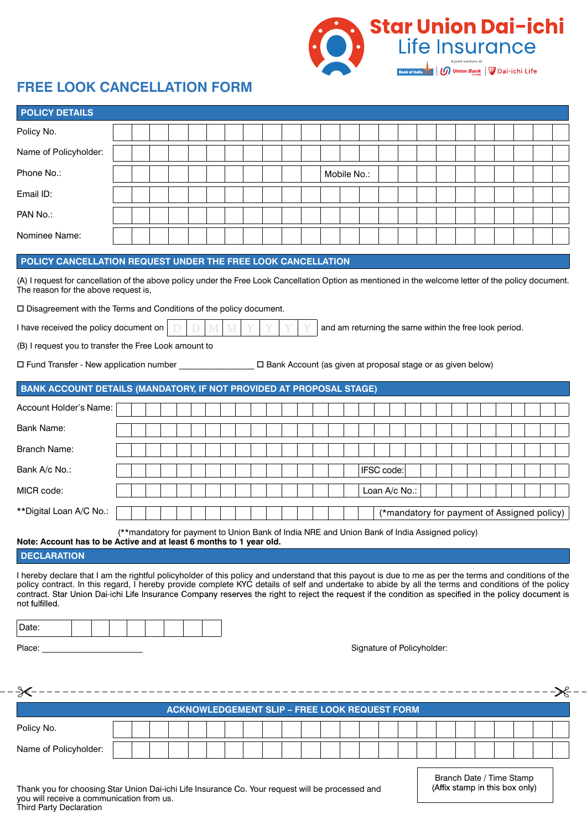

## **FREE LOOK CANCELLATION FORM**

| <b>POLICY DETAILS</b>                                                                                                                                                                                                                                                                                                                                                                                                                                                                     |                            |  |  |  |  |  |  |  |  |  |  |  |             |            |               |                                             |  |  |  |  |  |
|-------------------------------------------------------------------------------------------------------------------------------------------------------------------------------------------------------------------------------------------------------------------------------------------------------------------------------------------------------------------------------------------------------------------------------------------------------------------------------------------|----------------------------|--|--|--|--|--|--|--|--|--|--|--|-------------|------------|---------------|---------------------------------------------|--|--|--|--|--|
| Policy No.                                                                                                                                                                                                                                                                                                                                                                                                                                                                                |                            |  |  |  |  |  |  |  |  |  |  |  |             |            |               |                                             |  |  |  |  |  |
| Name of Policyholder:                                                                                                                                                                                                                                                                                                                                                                                                                                                                     |                            |  |  |  |  |  |  |  |  |  |  |  |             |            |               |                                             |  |  |  |  |  |
| Phone No.:                                                                                                                                                                                                                                                                                                                                                                                                                                                                                |                            |  |  |  |  |  |  |  |  |  |  |  | Mobile No.: |            |               |                                             |  |  |  |  |  |
| Email ID:                                                                                                                                                                                                                                                                                                                                                                                                                                                                                 |                            |  |  |  |  |  |  |  |  |  |  |  |             |            |               |                                             |  |  |  |  |  |
| PAN No.:                                                                                                                                                                                                                                                                                                                                                                                                                                                                                  |                            |  |  |  |  |  |  |  |  |  |  |  |             |            |               |                                             |  |  |  |  |  |
| Nominee Name:                                                                                                                                                                                                                                                                                                                                                                                                                                                                             |                            |  |  |  |  |  |  |  |  |  |  |  |             |            |               |                                             |  |  |  |  |  |
| POLICY CANCELLATION REQUEST UNDER THE FREE LOOK CANCELLATION                                                                                                                                                                                                                                                                                                                                                                                                                              |                            |  |  |  |  |  |  |  |  |  |  |  |             |            |               |                                             |  |  |  |  |  |
| (A) I request for cancellation of the above policy under the Free Look Cancellation Option as mentioned in the welcome letter of the policy document.<br>The reason for the above request is,                                                                                                                                                                                                                                                                                             |                            |  |  |  |  |  |  |  |  |  |  |  |             |            |               |                                             |  |  |  |  |  |
| □ Disagreement with the Terms and Conditions of the policy document.                                                                                                                                                                                                                                                                                                                                                                                                                      |                            |  |  |  |  |  |  |  |  |  |  |  |             |            |               |                                             |  |  |  |  |  |
| I have received the policy document on<br>M<br>and am returning the same within the free look period.<br>M                                                                                                                                                                                                                                                                                                                                                                                |                            |  |  |  |  |  |  |  |  |  |  |  |             |            |               |                                             |  |  |  |  |  |
| (B) I request you to transfer the Free Look amount to                                                                                                                                                                                                                                                                                                                                                                                                                                     |                            |  |  |  |  |  |  |  |  |  |  |  |             |            |               |                                             |  |  |  |  |  |
| □ Fund Transfer - New application number ________________ □ Bank Account (as given at proposal stage or as given below)                                                                                                                                                                                                                                                                                                                                                                   |                            |  |  |  |  |  |  |  |  |  |  |  |             |            |               |                                             |  |  |  |  |  |
| <b>BANK ACCOUNT DETAILS (MANDATORY, IF NOT PROVIDED AT PROPOSAL STAGE)</b>                                                                                                                                                                                                                                                                                                                                                                                                                |                            |  |  |  |  |  |  |  |  |  |  |  |             |            |               |                                             |  |  |  |  |  |
| Account Holder's Name:                                                                                                                                                                                                                                                                                                                                                                                                                                                                    |                            |  |  |  |  |  |  |  |  |  |  |  |             |            |               |                                             |  |  |  |  |  |
| <b>Bank Name:</b>                                                                                                                                                                                                                                                                                                                                                                                                                                                                         |                            |  |  |  |  |  |  |  |  |  |  |  |             |            |               |                                             |  |  |  |  |  |
| <b>Branch Name:</b>                                                                                                                                                                                                                                                                                                                                                                                                                                                                       |                            |  |  |  |  |  |  |  |  |  |  |  |             |            |               |                                             |  |  |  |  |  |
| Bank A/c No.:                                                                                                                                                                                                                                                                                                                                                                                                                                                                             |                            |  |  |  |  |  |  |  |  |  |  |  |             | IFSC code: |               |                                             |  |  |  |  |  |
| MICR code:                                                                                                                                                                                                                                                                                                                                                                                                                                                                                |                            |  |  |  |  |  |  |  |  |  |  |  |             |            | Loan A/c No.: |                                             |  |  |  |  |  |
| **Digital Loan A/C No.:                                                                                                                                                                                                                                                                                                                                                                                                                                                                   |                            |  |  |  |  |  |  |  |  |  |  |  |             |            |               | (*mandatory for payment of Assigned policy) |  |  |  |  |  |
| (**mandatory for payment to Union Bank of India NRE and Union Bank of India Assigned policy)<br>Note: Account has to be Active and at least 6 months to 1 year old.<br><b>DECLARATION</b>                                                                                                                                                                                                                                                                                                 |                            |  |  |  |  |  |  |  |  |  |  |  |             |            |               |                                             |  |  |  |  |  |
| I hereby declare that I am the rightful policyholder of this policy and understand that this payout is due to me as per the terms and conditions of the<br>policy contract. In this regard, I hereby provide complete KYC details of self and undertake to abide by all the terms and conditions of the policy<br>contract. Star Union Dai-ichi Life Insurance Company reserves the right to reject the request if the condition as specified in the policy document is<br>not fulfilled. |                            |  |  |  |  |  |  |  |  |  |  |  |             |            |               |                                             |  |  |  |  |  |
| Date:                                                                                                                                                                                                                                                                                                                                                                                                                                                                                     |                            |  |  |  |  |  |  |  |  |  |  |  |             |            |               |                                             |  |  |  |  |  |
| $\mathcal{L}^{\mathcal{L}}(\mathcal{L}^{\mathcal{L}})$ and $\mathcal{L}^{\mathcal{L}}(\mathcal{L}^{\mathcal{L}})$ . Then the contract of $\mathcal{L}^{\mathcal{L}}$<br>Place:                                                                                                                                                                                                                                                                                                            | Signature of Policyholder: |  |  |  |  |  |  |  |  |  |  |  |             |            |               |                                             |  |  |  |  |  |
|                                                                                                                                                                                                                                                                                                                                                                                                                                                                                           |                            |  |  |  |  |  |  |  |  |  |  |  |             |            |               |                                             |  |  |  |  |  |
| <b>ACKNOWLEDGEMENT SLIP - FREE LOOK REQUEST FORM</b>                                                                                                                                                                                                                                                                                                                                                                                                                                      |                            |  |  |  |  |  |  |  |  |  |  |  |             |            |               |                                             |  |  |  |  |  |
| Policy No.                                                                                                                                                                                                                                                                                                                                                                                                                                                                                |                            |  |  |  |  |  |  |  |  |  |  |  |             |            |               |                                             |  |  |  |  |  |
| Name of Policyholder:                                                                                                                                                                                                                                                                                                                                                                                                                                                                     |                            |  |  |  |  |  |  |  |  |  |  |  |             |            |               |                                             |  |  |  |  |  |

Branch Date / Time Stamp<br>(Affix stamp in this box only)